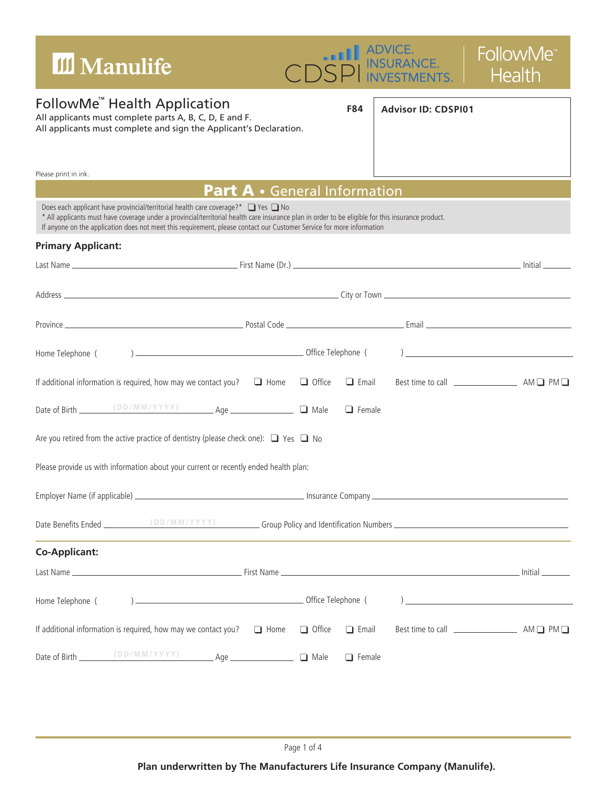| III Manulife                                                                                                                                                                                                                                                                                                                                                    | ADVICE.<br>INSURANCE.<br>INVESTMENTS.<br><b>FollowMe</b><br><b>Health</b> |  |  |  |  |
|-----------------------------------------------------------------------------------------------------------------------------------------------------------------------------------------------------------------------------------------------------------------------------------------------------------------------------------------------------------------|---------------------------------------------------------------------------|--|--|--|--|
| FollowMe <sup>"</sup> Health Application<br>All applicants must complete parts A, B, C, D, E and F.<br>All applicants must complete and sign the Applicant's Declaration.                                                                                                                                                                                       | <b>F84</b><br><b>Advisor ID: CDSPI01</b>                                  |  |  |  |  |
| Please print in ink.                                                                                                                                                                                                                                                                                                                                            |                                                                           |  |  |  |  |
|                                                                                                                                                                                                                                                                                                                                                                 | <b>Part A</b> . General Information                                       |  |  |  |  |
| Does each applicant have provincial/territorial health care coverage?* Q Yes Q No<br>* All applicants must have coverage under a provincial/territorial health care insurance plan in order to be eligible for this insurance product.<br>If anyone on the application does not meet this requirement, please contact our Customer Service for more information |                                                                           |  |  |  |  |
| <b>Primary Applicant:</b>                                                                                                                                                                                                                                                                                                                                       |                                                                           |  |  |  |  |
|                                                                                                                                                                                                                                                                                                                                                                 |                                                                           |  |  |  |  |
|                                                                                                                                                                                                                                                                                                                                                                 |                                                                           |  |  |  |  |
|                                                                                                                                                                                                                                                                                                                                                                 |                                                                           |  |  |  |  |
|                                                                                                                                                                                                                                                                                                                                                                 |                                                                           |  |  |  |  |
| If additional information is required, how may we contact you? $\Box$ Home $\Box$ Office                                                                                                                                                                                                                                                                        | $\Box$ Email                                                              |  |  |  |  |
|                                                                                                                                                                                                                                                                                                                                                                 | $\Box$ Female                                                             |  |  |  |  |
| Are you retired from the active practice of dentistry (please check one): $\Box$ Yes $\Box$ No                                                                                                                                                                                                                                                                  |                                                                           |  |  |  |  |
| Please provide us with information about your current or recently ended health plan:                                                                                                                                                                                                                                                                            |                                                                           |  |  |  |  |
|                                                                                                                                                                                                                                                                                                                                                                 |                                                                           |  |  |  |  |
|                                                                                                                                                                                                                                                                                                                                                                 |                                                                           |  |  |  |  |
| <b>Co-Applicant:</b>                                                                                                                                                                                                                                                                                                                                            |                                                                           |  |  |  |  |
|                                                                                                                                                                                                                                                                                                                                                                 |                                                                           |  |  |  |  |
| Home Telephone (                                                                                                                                                                                                                                                                                                                                                |                                                                           |  |  |  |  |
| If additional information is required, how may we contact you? $\Box$ Home $\Box$ Office                                                                                                                                                                                                                                                                        | $\Box$ Email                                                              |  |  |  |  |
|                                                                                                                                                                                                                                                                                                                                                                 | $\Box$ Female                                                             |  |  |  |  |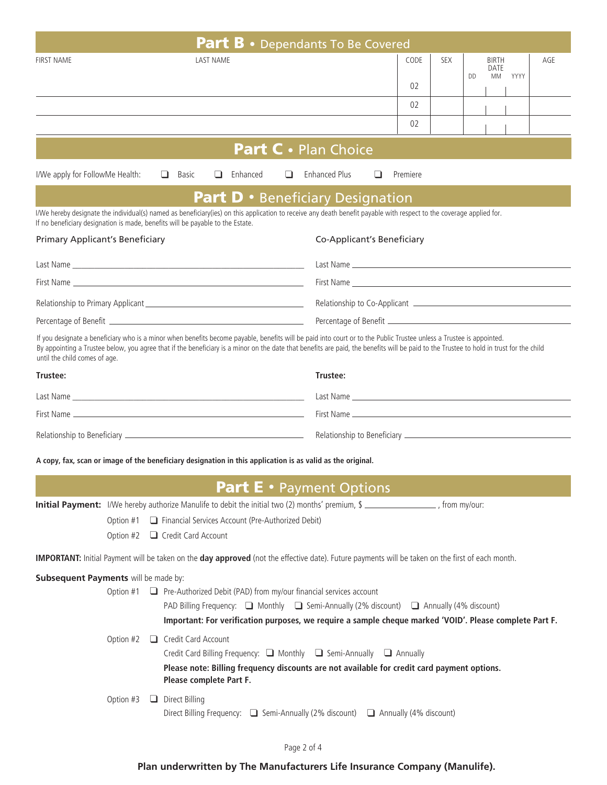| <b>Part B</b> • Dependants To Be Covered                                                                                                                                                                                                                                                                                                                                                         |                  |  |                                      |  |  |  |                             |            |                                         |                            |      |     |  |  |  |  |  |
|--------------------------------------------------------------------------------------------------------------------------------------------------------------------------------------------------------------------------------------------------------------------------------------------------------------------------------------------------------------------------------------------------|------------------|--|--------------------------------------|--|--|--|-----------------------------|------------|-----------------------------------------|----------------------------|------|-----|--|--|--|--|--|
| <b>FIRST NAME</b>                                                                                                                                                                                                                                                                                                                                                                                | <b>LAST NAME</b> |  |                                      |  |  |  | CODE<br>02                  | <b>SEX</b> | <b>DD</b>                               | <b>BIRTH</b><br>DATE<br>MM | YYYY | AGE |  |  |  |  |  |
|                                                                                                                                                                                                                                                                                                                                                                                                  |                  |  |                                      |  |  |  |                             |            |                                         | 02                         |      |     |  |  |  |  |  |
|                                                                                                                                                                                                                                                                                                                                                                                                  |                  |  |                                      |  |  |  |                             |            |                                         | 02                         |      |     |  |  |  |  |  |
|                                                                                                                                                                                                                                                                                                                                                                                                  |                  |  |                                      |  |  |  | <b>Part C</b> • Plan Choice |            |                                         |                            |      |     |  |  |  |  |  |
| Enhanced<br><b>Enhanced Plus</b><br>I/We apply for FollowMe Health:<br>⊔<br>Basic<br>⊔<br>⊔<br>⊔<br>Premiere                                                                                                                                                                                                                                                                                     |                  |  |                                      |  |  |  |                             |            |                                         |                            |      |     |  |  |  |  |  |
|                                                                                                                                                                                                                                                                                                                                                                                                  |                  |  |                                      |  |  |  |                             |            | <b>Part D</b> • Beneficiary Designation |                            |      |     |  |  |  |  |  |
| I/We hereby designate the individual(s) named as beneficiary(ies) on this application to receive any death benefit payable with respect to the coverage applied for.<br>If no beneficiary designation is made, benefits will be payable to the Estate.                                                                                                                                           |                  |  |                                      |  |  |  |                             |            |                                         |                            |      |     |  |  |  |  |  |
| <b>Primary Applicant's Beneficiary</b><br>Co-Applicant's Beneficiary                                                                                                                                                                                                                                                                                                                             |                  |  |                                      |  |  |  |                             |            |                                         |                            |      |     |  |  |  |  |  |
|                                                                                                                                                                                                                                                                                                                                                                                                  |                  |  |                                      |  |  |  |                             |            |                                         |                            |      |     |  |  |  |  |  |
|                                                                                                                                                                                                                                                                                                                                                                                                  |                  |  |                                      |  |  |  |                             |            |                                         |                            |      |     |  |  |  |  |  |
|                                                                                                                                                                                                                                                                                                                                                                                                  |                  |  |                                      |  |  |  |                             |            |                                         |                            |      |     |  |  |  |  |  |
|                                                                                                                                                                                                                                                                                                                                                                                                  |                  |  |                                      |  |  |  |                             |            |                                         |                            |      |     |  |  |  |  |  |
| If you designate a beneficiary who is a minor when benefits become payable, benefits will be paid into court or to the Public Trustee unless a Trustee is appointed.<br>By appointing a Trustee below, you agree that if the beneficiary is a minor on the date that benefits are paid, the benefits will be paid to the Trustee to hold in trust for the child<br>until the child comes of age. |                  |  |                                      |  |  |  |                             |            |                                         |                            |      |     |  |  |  |  |  |
| Trustee:                                                                                                                                                                                                                                                                                                                                                                                         |                  |  |                                      |  |  |  |                             | Trustee:   |                                         |                            |      |     |  |  |  |  |  |
|                                                                                                                                                                                                                                                                                                                                                                                                  |                  |  |                                      |  |  |  |                             |            |                                         |                            |      |     |  |  |  |  |  |
|                                                                                                                                                                                                                                                                                                                                                                                                  |                  |  |                                      |  |  |  |                             |            |                                         |                            |      |     |  |  |  |  |  |
|                                                                                                                                                                                                                                                                                                                                                                                                  |                  |  |                                      |  |  |  |                             |            |                                         |                            |      |     |  |  |  |  |  |
| A copy, fax, scan or image of the beneficiary designation in this application is as valid as the original.                                                                                                                                                                                                                                                                                       |                  |  |                                      |  |  |  |                             |            |                                         |                            |      |     |  |  |  |  |  |
|                                                                                                                                                                                                                                                                                                                                                                                                  |                  |  |                                      |  |  |  |                             |            | <b>Part E</b> • Payment Options         |                            |      |     |  |  |  |  |  |
| Initial Payment: I/We hereby authorize Manulife to debit the initial two (2) months' premium, \$                                                                                                                                                                                                                                                                                                 |                  |  |                                      |  |  |  |                             |            |                                         |                            |      |     |  |  |  |  |  |
| Financial Services Account (Pre-Authorized Debit)<br>Option #1                                                                                                                                                                                                                                                                                                                                   |                  |  |                                      |  |  |  |                             |            |                                         |                            |      |     |  |  |  |  |  |
|                                                                                                                                                                                                                                                                                                                                                                                                  |                  |  | Option #2 $\Box$ Credit Card Account |  |  |  |                             |            |                                         |                            |      |     |  |  |  |  |  |
| IMPORTANT: Initial Payment will be taken on the day approved (not the effective date). Future payments will be taken on the first of each month.                                                                                                                                                                                                                                                 |                  |  |                                      |  |  |  |                             |            |                                         |                            |      |     |  |  |  |  |  |
| Subsequent Payments will be made by:<br>$\Box$ Pre-Authorized Debit (PAD) from my/our financial services account<br>Option #1<br>PAD Billing Frequency: $\Box$ Monthly $\Box$ Semi-Annually (2% discount) $\Box$ Annually (4% discount)<br>Important: For verification purposes, we require a sample cheque marked 'VOID'. Please complete Part F.                                               |                  |  |                                      |  |  |  |                             |            |                                         |                            |      |     |  |  |  |  |  |
| Credit Card Account<br>Option #2<br>Credit Card Billing Frequency: ■ Monthly ■ Semi-Annually ■ Annually<br>Please note: Billing frequency discounts are not available for credit card payment options.<br>Please complete Part F.                                                                                                                                                                |                  |  |                                      |  |  |  |                             |            |                                         |                            |      |     |  |  |  |  |  |
| Direct Billing<br>Option #3<br>Direct Billing Frequency: □ Semi-Annually (2% discount) □ Annually (4% discount)                                                                                                                                                                                                                                                                                  |                  |  |                                      |  |  |  |                             |            |                                         |                            |      |     |  |  |  |  |  |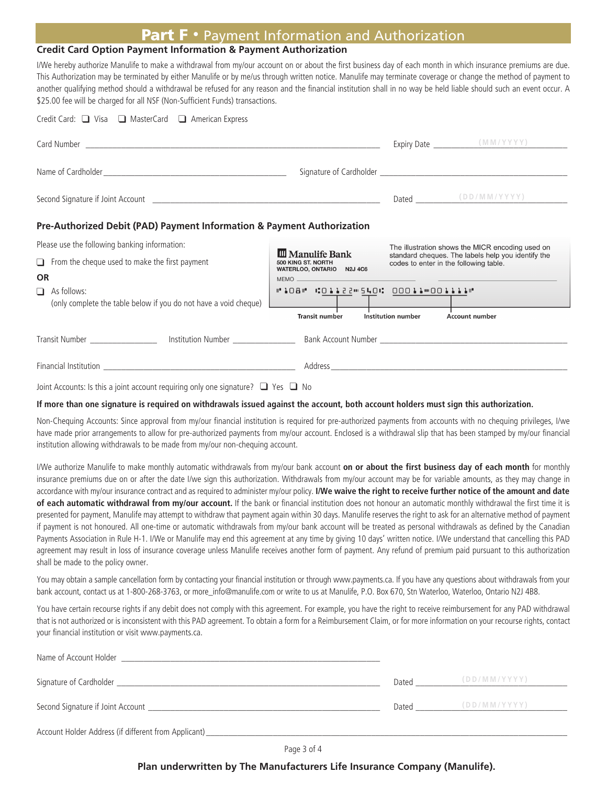## Part F • Payment Information and Authorization

#### **Credit Card Option Payment Information & Payment Authorization**

I/We hereby authorize Manulife to make a withdrawal from my/our account on or about the first business day of each month in which insurance premiums are due. This Authorization may be terminated by either Manulife or by me/us through written notice. Manulife may terminate coverage or change the method of payment to another qualifying method should a withdrawal be refused for any reason and the financial institution shall in no way be held liable should such an event occur. A \$25.00 fee will be charged for all NSF (Non-Sufficient Funds) transactions.

| Credit Card: ■ Visa ■ MasterCard ■ American Express                                        |                                                                             |                                                                                              |                       |  |  |  |  |
|--------------------------------------------------------------------------------------------|-----------------------------------------------------------------------------|----------------------------------------------------------------------------------------------|-----------------------|--|--|--|--|
|                                                                                            |                                                                             |                                                                                              |                       |  |  |  |  |
|                                                                                            |                                                                             |                                                                                              |                       |  |  |  |  |
|                                                                                            |                                                                             |                                                                                              | Dated (DD/MM/YYYY)    |  |  |  |  |
| Pre-Authorized Debit (PAD) Payment Information & Payment Authorization                     |                                                                             |                                                                                              |                       |  |  |  |  |
| Please use the following banking information:                                              | The illustration shows the MICR encoding used on                            |                                                                                              |                       |  |  |  |  |
| $\Box$ From the cheque used to make the first payment                                      | <b>III</b> Manulife Bank<br>500 KING ST. NORTH<br>WATERLOO, ONTARIO N2J 4C6 | standard cheques. The labels help you identify the<br>codes to enter in the following table. |                       |  |  |  |  |
| <b>OR</b>                                                                                  |                                                                             |                                                                                              |                       |  |  |  |  |
| As follows:<br>$\Box$                                                                      | #108" COILZZ"540: 00011 0001111"                                            |                                                                                              |                       |  |  |  |  |
| (only complete the table below if you do not have a void cheque)                           | <b>Transit number</b>                                                       | Institution number                                                                           | <b>Account number</b> |  |  |  |  |
|                                                                                            |                                                                             |                                                                                              |                       |  |  |  |  |
|                                                                                            |                                                                             |                                                                                              |                       |  |  |  |  |
| Joint Accounts: Is this a joint account requiring only one signature? $\Box$ Yes $\Box$ No |                                                                             |                                                                                              |                       |  |  |  |  |

#### **If more than one signature is required on withdrawals issued against the account, both account holders must sign this authorization.**

Non-Chequing Accounts: Since approval from my/our financial institution is required for pre-authorized payments from accounts with no chequing privileges, I/we have made prior arrangements to allow for pre-authorized payments from my/our account. Enclosed is a withdrawal slip that has been stamped by my/our financial institution allowing withdrawals to be made from my/our non-chequing account.

I/We authorize Manulife to make monthly automatic withdrawals from my/our bank account **on or about the first business day of each month** for monthly insurance premiums due on or after the date I/we sign this authorization. Withdrawals from my/our account may be for variable amounts, as they may change in accordance with my/our insurance contract and as required to administer my/our policy. **I/We waive the right to receive further notice of the amount and date of each automatic withdrawal from my/our account.** If the bank or financial institution does not honour an automatic monthly withdrawal the first time it is presented for payment, Manulife may attempt to withdraw that payment again within 30 days. Manulife reserves the right to ask for an alternative method of payment if payment is not honoured. All one-time or automatic withdrawals from my/our bank account will be treated as personal withdrawals as defined by the Canadian Payments Association in Rule H-1. I/We or Manulife may end this agreement at any time by giving 10 days' written notice. I/We understand that cancelling this PAD agreement may result in loss of insurance coverage unless Manulife receives another form of payment. Any refund of premium paid pursuant to this authorization shall be made to the policy owner.

You may obtain a sample cancellation form by contacting your financial institution or through www.payments.ca. If you have any questions about withdrawals from your bank account, contact us at 1-800-268-3763, or more\_info@manulife.com or write to us at Manulife, P.O. Box 670, Stn Waterloo, Waterloo, Ontario N2J 4B8.

You have certain recourse rights if any debit does not comply with this agreement. For example, you have the right to receive reimbursement for any PAD withdrawal that is not authorized or is inconsistent with this PAD agreement. To obtain a form for a Reimbursement Claim, or for more information on your recourse rights, contact your financial institution or visit www.payments.ca.

| Name of Account Holder                               |       |              |  |
|------------------------------------------------------|-------|--------------|--|
| Signature of Cardholder __                           | Dated | (DD/MM/YYYY) |  |
| Second Signature if Joint Account                    | Dated | (DD/MM/YYYY) |  |
| Account Holder Address (if different from Applicant) |       |              |  |

Page 3 of 4